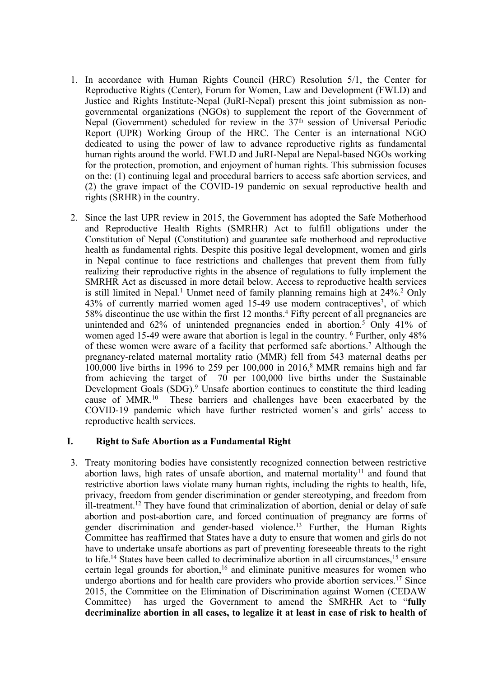- 1. In accordance with Human Rights Council (HRC) Resolution 5/1, the Center for Reproductive Rights (Center), Forum for Women, Law and Development (FWLD) and Justice and Rights Institute-Nepal (JuRI-Nepal) presen<sup>t</sup> this joint submission as nongovernmental organizations (NGOs) to supplement the repor<sup>t</sup> of the Government of Nepal (Government) scheduled for review in the 37<sup>th</sup> session of Universal Periodic Report (UPR) Working Group of the HRC. The Center is an international NGO dedicated to using the power of law to advance reproductive rights as fundamental human rights around the world. FWLD and JuRI-Nepal are Nepal-based NGOs working for the protection, promotion, and enjoyment of human rights. This submission focuses on the: (1) continuing legal and procedural barriers to access safe abortion services, and (2) the grave impact of the COVID-19 pandemic on sexual reproductive health and rights (SRHR) in the country.
- 2. Since the last UPR review in 2015, the Government has adopted the Safe Motherhood and Reproductive Health Rights (SMRHR) Act to fulfill obligations under the Constitution of Nepal (Constitution) and guarantee safe motherhood and reproductive health as fundamental rights. Despite this positive legal development, women and girls in Nepal continue to face restrictions and challenges that preven<sup>t</sup> them from fully realizing their reproductive rights in the absence of regulations to fully implement the SMRHR Act as discussed in more detail below. Access to reproductive health services is still limited in Nepal. <sup>1</sup> Unmet need of family <sup>p</sup>lanning remains high at 24%. <sup>2</sup> Only 43% of currently married women aged 15-49 use modern contraceptives<sup>3</sup>, of which 58% discontinue the use within the first 12 months. 4 Fifty percen<sup>t</sup> of all pregnancies are unintended and 62% of unintended pregnancies ended in abortion. <sup>5</sup> Only 41% of women aged 15-49 were aware that abortion is legal in the country. <sup>6</sup> Further, only 48% of these women were aware of <sup>a</sup> facility that performed safe abortions. <sup>7</sup> Although the pregnancy-related maternal mortality ratio (MMR) fell from 543 maternal deaths per 100,000 live births in 1996 to 259 per 100,000 in 2016, <sup>8</sup> MMR remains high and far from achieving the target of 70 per 100,000 live births under the Sustainable Development Goals (SDG). <sup>9</sup> Unsafe abortion continues to constitute the third leading cause of MMR. 10 These barriers and challenges have been exacerbated by the COVID-19 pandemic which have further restricted women'<sup>s</sup> and girls' access to reproductive health services.

# **I. Right to Safe Abortion as <sup>a</sup> Fundamental Right**

3. Treaty monitoring bodies have consistently recognized connection between restrictive abortion laws, high rates of unsafe abortion, and maternal mortality<sup>11</sup> and found that restrictive abortion laws violate many human rights, including the rights to health, life, privacy, freedom from gender discrimination or gender stereotyping, and freedom from ill-treatment.<sup>12</sup> They have found that criminalization of abortion, denial or delay of safe abortion and post-abortion care, and forced continuation of pregnancy are forms of gender discrimination and gender-based violence. 13 Further, the Human Rights Committee has reaffirmed that States have <sup>a</sup> duty to ensure that women and girls do not have to undertake unsafe abortions as par<sup>t</sup> of preventing foreseeable threats to the right to life.<sup>14</sup> States have been called to decriminalize abortion in all circumstances,<sup>15</sup> ensure certain legal grounds for abortion, 16 and eliminate punitive measures for women who undergo abortions and for health care providers who provide abortion services. 17 Since 2015, the Committee on the Elimination of Discrimination against Women (CEDAW Committee) has urged the Government to amend the SMRHR Act to "**fully decriminalize abortion in all cases, to legalize it at least in case of risk to health of**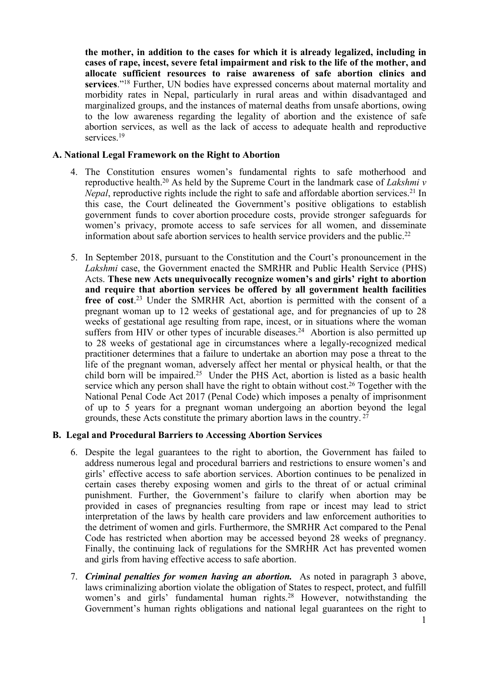**the mother, in addition to the cases for which it is already legalized, including in cases of rape, incest, severe fetal impairment and risk to the life of the mother, and allocate sufficient resources to raise awareness of safe abortion clinics and services**."<sup>18</sup> Further, UN bodies have expressed concerns about maternal mortality and morbidity rates in Nepal, particularly in rural areas and within disadvantaged and marginalized groups, and the instances of maternal deaths from unsafe abortions, owing to the low awareness regarding the legality of abortion and the existence of safe abortion services, as well as the lack of access to adequate health and reproductive services.<sup>19</sup>

# **A. National Legal Framework on the Right to Abortion**

- 4. The Constitution ensures women'<sup>s</sup> fundamental rights to safe motherhood and reproductive health. <sup>20</sup> As held by the Supreme Court in the landmark case of *Lakshmi <sup>v</sup> Nepal*, reproductive rights include the right to safe and affordable abortion services.<sup>21</sup> In this case, the Court delineated the Government'<sup>s</sup> positive obligations to establish governmen<sup>t</sup> funds to cover abortion procedure costs, provide stronger safeguards for women'<sup>s</sup> privacy, promote access to safe services for all women, and disseminate information about safe abortion services to health service providers and the public.<sup>22</sup>
- 5. In September 2018, pursuan<sup>t</sup> to the Constitution and the Court'<sup>s</sup> pronouncemen<sup>t</sup> in the *Lakshmi* case, the Government enacted the SMRHR and Public Health Service (PHS) Acts. **These new Acts unequivocally recognize women'<sup>s</sup> and girls' right to abortion and require that abortion services be offered by all government health facilities free of cost**. <sup>23</sup> Under the SMRHR Act, abortion is permitted with the consent of <sup>a</sup> pregnan<sup>t</sup> woman up to 12 weeks of gestational age, and for pregnancies of up to 28 weeks of gestational age resulting from rape, incest, or in situations where the woman suffers from HIV or other types of incurable diseases.<sup>24</sup> Abortion is also permitted up to 28 weeks of gestational age in circumstances where <sup>a</sup> legally-recognized medical practitioner determines that <sup>a</sup> failure to undertake an abortion may pose <sup>a</sup> threat to the life of the pregnan<sup>t</sup> woman, adversely affect her mental or physical health, or that the child born will be impaired. <sup>25</sup> Under the PHS Act, abortion is listed as <sup>a</sup> basic health service which any person shall have the right to obtain without cost.<sup>26</sup> Together with the National Penal Code Act 2017 (Penal Code) which imposes <sup>a</sup> penalty of imprisonment of up to 5 years for <sup>a</sup> pregnan<sup>t</sup> woman undergoing an abortion beyond the legal grounds, these Acts constitute the primary abortion laws in the country. 27

# **B. Legal and Procedural Barriers to Accessing Abortion Services**

- 6. Despite the legal guarantees to the right to abortion, the Government has failed to address numerous legal and procedural barriers and restrictions to ensure women'<sup>s</sup> and girls' effective access to safe abortion services. Abortion continues to be penalized in certain cases thereby exposing women and girls to the threat of or actual criminal punishment. Further, the Government'<sup>s</sup> failure to clarify when abortion may be provided in cases of pregnancies resulting from rape or incest may lead to strict interpretation of the laws by health care providers and law enforcement authorities to the detriment of women and girls. Furthermore, the SMRHR Act compared to the Penal Code has restricted when abortion may be accessed beyond 28 weeks of pregnancy. Finally, the continuing lack of regulations for the SMRHR Act has prevented women and girls from having effective access to safe abortion.
- 7. *Criminal penalties for women having an abortion.* As noted in paragraph 3 above, laws criminalizing abortion violate the obligation of States to respect, protect, and fulfill women'<sup>s</sup> and girls' fundamental human rights. <sup>28</sup> However, notwithstanding the Government'<sup>s</sup> human rights obligations and national legal guarantees on the right to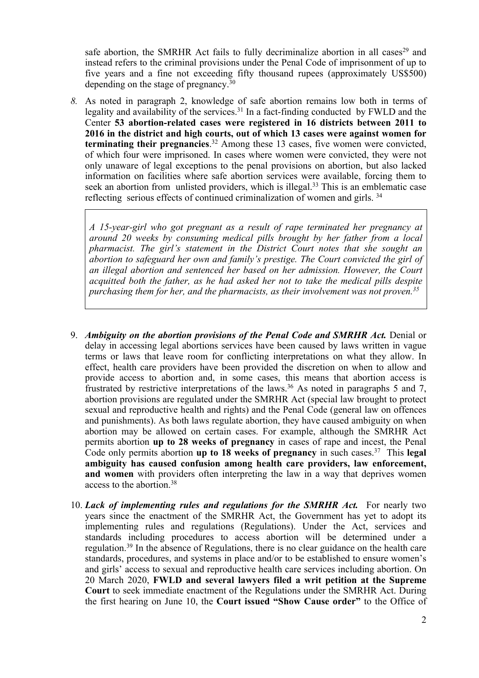safe abortion, the SMRHR Act fails to fully decriminalize abortion in all cases<sup>29</sup> and instead refers to the criminal provisions under the Penal Code of imprisonment of up to five years and <sup>a</sup> fine not exceeding fifty thousand rupees (approximately US\$500) depending on the stage of pregnancy.<sup>30</sup>

*8.* As noted in paragraph 2, knowledge of safe abortion remains low both in terms of legality and availability of the services.<sup>31</sup> In a fact-finding conducted by FWLD and the Center **53 abortion-related cases were registered in 16 districts between 2011 to 2016 in the district and high courts, out of which 13 cases were against women for terminating their pregnancies**. <sup>32</sup> Among these 13 cases, five women were convicted, of which four were imprisoned. In cases where women were convicted, they were not only unaware of legal exceptions to the penal provisions on abortion, but also lacked information on facilities where safe abortion services were available, forcing them to seek an abortion from unlisted providers, which is illegal.<sup>33</sup> This is an emblematic case reflecting serious effects of continued criminalization of women and girls.<sup>34</sup>

*A 15-year-girl who go<sup>t</sup> pregnan<sup>t</sup> as <sup>a</sup> result of rape terminated her pregnancy at around 20 weeks by consuming medical pills brought by her father from <sup>a</sup> local pharmacist. The girl'<sup>s</sup> statement in the District Court notes that she sought an abortion to safeguard her own and family'<sup>s</sup> prestige. The Court convicted the girl of an illegal abortion and sentenced her based on her admission. However, the Court acquitted both the father, as he had asked her not to take the medical pills despite purchasing them for her, and the pharmacists, as their involvement was not proven. 35*

- 9. *Ambiguity on the abortion provisions of the Penal Code and SMRHR Act.* Denial or delay in accessing legal abortions services have been caused by laws written in vague terms or laws that leave room for conflicting interpretations on what they allow. In effect, health care providers have been provided the discretion on when to allow and provide access to abortion and, in some cases, this means that abortion access is frustrated by restrictive interpretations of the laws. <sup>36</sup> As noted in paragraphs <sup>5</sup> and 7, abortion provisions are regulated under the SMRHR Act (special law brought to protect sexual and reproductive health and rights) and the Penal Code (general law on offences and punishments). As both laws regulate abortion, they have caused ambiguity on when abortion may be allowed on certain cases. For example, although the SMRHR Act permits abortion **up to 28 weeks of pregnancy** in cases of rape and incest, the Penal Code only permits abortion **up to 18 weeks of pregnancy** in such cases. 37 This **legal ambiguity has caused confusion among health care providers, law enforcement, and women** with providers often interpreting the law in <sup>a</sup> way that deprives women access to the abortion.<sup>38</sup>
- 10. *Lack of implementing rules and regulations for the SMRHR Act.* For nearly two years since the enactment of the SMRHR Act, the Government has ye<sup>t</sup> to adopt its implementing rules and regulations (Regulations). Under the Act, services and standards including procedures to access abortion will be determined under <sup>a</sup> regulation.<sup>39</sup> In the absence of Regulations, there is no clear guidance on the health care standards, procedures, and systems in place and/or to be established to ensure women'<sup>s</sup> and girls' access to sexual and reproductive health care services including abortion. On 20 March 2020, **FWLD and several lawyers filed <sup>a</sup> writ petition at the Supreme Court** to seek immediate enactment of the Regulations under the SMRHR Act. During the first hearing on June 10, the **Court issued "Show Cause order"** to the Office of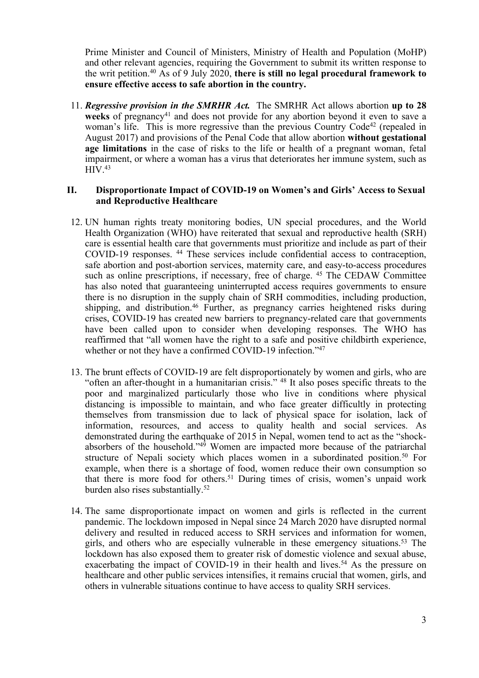Prime Minister and Council of Ministers, Ministry of Health and Population (MoHP) and other relevant agencies, requiring the Government to submit its written response to the writ petition. <sup>40</sup> As of 9 July 2020, **there is still no legal procedural framework to ensure effective access to safe abortion in the country.**

11. *Regressive provision in the SMRHR Act.* The SMRHR Act allows abortion **up to 28** weeks of pregnancy<sup>41</sup> and does not provide for any abortion beyond it even to save a woman's life. This is more regressive than the previous Country Code<sup>42</sup> (repealed in August 2017) and provisions of the Penal Code that allow abortion **without gestational age limitations** in the case of risks to the life or health of <sup>a</sup> pregnan<sup>t</sup> woman, fetal impairment, or where <sup>a</sup> woman has <sup>a</sup> virus that deteriorates her immune system, such as HIV. 43

# **II. Disproportionate Impact of COVID-19 on Women'<sup>s</sup> and Girls' Access to Sexual and Reproductive Healthcare**

- 12. UN human rights treaty monitoring bodies, UN special procedures, and the World Health Organization (WHO) have reiterated that sexual and reproductive health (SRH) care is essential health care that governments must prioritize and include as par<sup>t</sup> of their COVID-19 responses. 44 These services include confidential access to contraception, safe abortion and post-abortion services, maternity care, and easy-to-access procedures such as online prescriptions, if necessary, free of charge. 45 The CEDAW Committee has also noted that guaranteeing uninterrupted access requires governments to ensure there is no disruption in the supply chain of SRH commodities, including production, shipping, and distribution. 46 Further, as pregnancy carries heightened risks during crises, COVID-19 has created new barriers to pregnancy-related care that governments have been called upon to consider when developing responses. The WHO has reaffirmed that "all women have the right to <sup>a</sup> safe and positive childbirth experience, whether or not they have a confirmed COVID-19 infection."<sup>47</sup>
- 13. The brunt effects of COVID-19 are felt disproportionately by women and girls, who are "often an after-thought in <sup>a</sup> humanitarian crisis." <sup>48</sup> It also poses specific threats to the poor and marginalized particularly those who live in conditions where physical distancing is impossible to maintain, and who face greater difficultly in protecting themselves from transmission due to lack of physical space for isolation, lack of information, resources, and access to quality health and social services. As demonstrated during the earthquake of 2015 in Nepal, women tend to act as the "shockabsorbers of the household."<sup>49</sup> Women are impacted more because of the patriarchal structure of Nepali society which places women in <sup>a</sup> subordinated position. 50 For example, when there is <sup>a</sup> shortage of food, women reduce their own consumption so that there is more food for others. <sup>51</sup> During times of crisis, women'<sup>s</sup> unpaid work burden also rises substantially. 52
- 14. The same disproportionate impact on women and girls is reflected in the current pandemic. The lockdown imposed in Nepal since 24 March 2020 have disrupted normal delivery and resulted in reduced access to SRH services and information for women, girls, and others who are especially vulnerable in these emergency situations. 53 The lockdown has also exposed them to greater risk of domestic violence and sexual abuse, exacerbating the impact of COVID-19 in their health and lives. <sup>54</sup> As the pressure on healthcare and other public services intensifies, it remains crucial that women, girls, and others in vulnerable situations continue to have access to quality SRH services.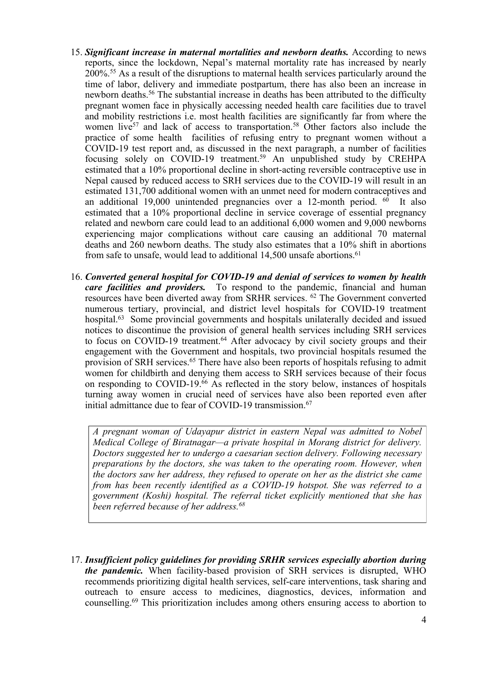- 15. *Significant increase in maternal mortalities and newborn deaths.* According to news reports, since the lockdown, Nepal'<sup>s</sup> maternal mortality rate has increased by nearly 200%. <sup>55</sup> As <sup>a</sup> result of the disruptions to maternal health services particularly around the time of labor, delivery and immediate postpartum, there has also been an increase in newborn deaths. 56 The substantial increase in deaths has been attributed to the difficulty pregnan<sup>t</sup> women face in physically accessing needed health care facilities due to travel and mobility restrictions i.e. most health facilities are significantly far from where the women live<sup>57</sup> and lack of access to transportation.<sup>58</sup> Other factors also include the practice of some health facilities of refusing entry to pregnan<sup>t</sup> women without <sup>a</sup> COVID-19 test repor<sup>t</sup> and, as discussed in the next paragraph, <sup>a</sup> number of facilities focusing solely on COVID-19 treatment. <sup>59</sup> An unpublished study by CREHPA estimated that <sup>a</sup> 10% proportional decline in short-acting reversible contraceptive use in Nepal caused by reduced access to SRH services due to the COVID-19 will result in an estimated 131,700 additional women with an unmet need for modern contraceptives and an additional 19,000 unintended pregnancies over a 12-month period. <sup>60</sup> It also estimated that <sup>a</sup> 10% proportional decline in service coverage of essential pregnancy related and newborn care could lead to an additional 6,000 women and 9,000 newborns experiencing major complications without care causing an additional 70 maternal deaths and 260 newborn deaths. The study also estimates that <sup>a</sup> 10% shift in abortions from safe to unsafe, would lead to additional 14,500 unsafe abortions. 61
- 16. *Converted general hospital for COVID-19 and denial of services to women by health care facilities and providers.* To respond to the pandemic, financial and human resources have been diverted away from SRHR services. 62 The Government converted numerous tertiary, provincial, and district level hospitals for COVID-19 treatment hospital.<sup>63</sup> Some provincial governments and hospitals unilaterally decided and issued notices to discontinue the provision of general health services including SRH services to focus on COVID-19 treatment. <sup>64</sup> After advocacy by civil society groups and their engagemen<sup>t</sup> with the Government and hospitals, two provincial hospitals resumed the provision of SRH services. 65 There have also been reports of hospitals refusing to admit women for childbirth and denying them access to SRH services because of their focus on responding to COVID-19. <sup>66</sup> As reflected in the story below, instances of hospitals turning away women in crucial need of services have also been reported even after initial admittance due to fear of COVID-19 transmission. 67

*A pregnan<sup>t</sup> woman of Udayapur district in eastern Nepal was admitted to Nobel Medical College of Biratnagar—<sup>a</sup> private hospital in Morang district for delivery. Doctors suggested her to undergo <sup>a</sup> caesarian section delivery. Following necessary preparations by the doctors, she was taken to the operating room. However, when the doctors saw her address, they refused to operate on her as the district she came from has been recently identified as <sup>a</sup> COVID-19 hotspot. She was referred to <sup>a</sup> governmen<sup>t</sup> (Koshi) hospital. The referral ticket explicitly mentioned that she has been referred because of her address. 68*

17. *Insufficient policy guidelines for providing SRHR services especially abortion during the pandemic.* When facility-based provision of SRH services is disrupted, WHO recommends prioritizing digital health services, self-care interventions, task sharing and outreach to ensure access to medicines, diagnostics, devices, information and counselling. 69 This prioritization includes among others ensuring access to abortion to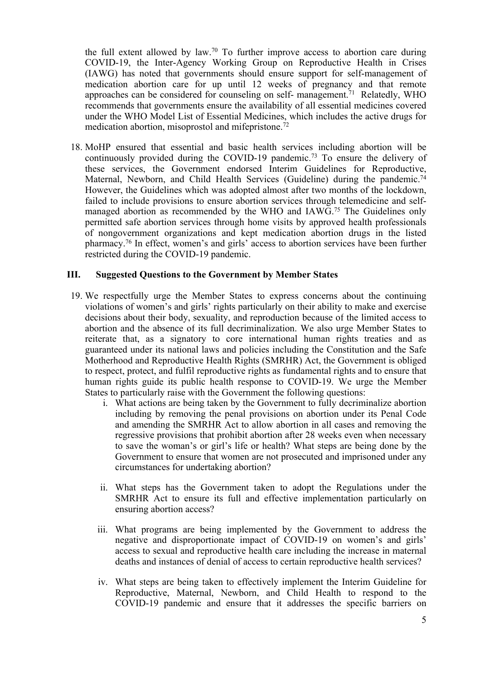the full extent allowed by law. 70 To further improve access to abortion care during COVID-19, the Inter-Agency Working Group on Reproductive Health in Crises (IAWG) has noted that governments should ensure suppor<sup>t</sup> for self-management of medication abortion care for up until 12 weeks of pregnancy and that remote approaches can be considered for counseling on self- management.<sup>71</sup> Relatedly, WHO recommends that governments ensure the availability of all essential medicines covered under the WHO Model List of Essential Medicines, which includes the active drugs for medication abortion, misoprostol and mifepristone. 72

18. MoHP ensured that essential and basic health services including abortion will be continuously provided during the COVID-19 pandemic. 73 To ensure the delivery of these services, the Government endorsed Interim Guidelines for Reproductive, Maternal, Newborn, and Child Health Services (Guideline) during the pandemic.<sup>74</sup> However, the Guidelines which was adopted almost after two months of the lockdown, failed to include provisions to ensure abortion services through telemedicine and selfmanaged abortion as recommended by the WHO and IAWG. 75 The Guidelines only permitted safe abortion services through home visits by approved health professionals of nongovernmen<sup>t</sup> organizations and kept medication abortion drugs in the listed pharmacy. 76 In effect, women'<sup>s</sup> and girls' access to abortion services have been further restricted during the COVID-19 pandemic.

# **III. Suggested Questions to the Government by Member States**

- 19. We respectfully urge the Member States to express concerns about the continuing violations of women'<sup>s</sup> and girls' rights particularly on their ability to make and exercise decisions about their body, sexuality, and reproduction because of the limited access to abortion and the absence of its full decriminalization. We also urge Member States to reiterate that, as <sup>a</sup> signatory to core international human rights treaties and as guaranteed under its national laws and policies including the Constitution and the Safe Motherhood and Reproductive Health Rights (SMRHR) Act, the Government is obliged to respect, protect, and fulfil reproductive rights as fundamental rights and to ensure that human rights guide its public health response to COVID-19. We urge the Member States to particularly raise with the Government the following questions:
	- i. What actions are being taken by the Government to fully decriminalize abortion including by removing the penal provisions on abortion under its Penal Code and amending the SMRHR Act to allow abortion in all cases and removing the regressive provisions that prohibit abortion after 28 weeks even when necessary to save the woman'<sup>s</sup> or girl'<sup>s</sup> life or health? What steps are being done by the Government to ensure that women are not prosecuted and imprisoned under any circumstances for undertaking abortion?
	- ii. What steps has the Government taken to adopt the Regulations under the SMRHR Act to ensure its full and effective implementation particularly on ensuring abortion access?
	- iii. What programs are being implemented by the Government to address the negative and disproportionate impact of COVID-19 on women'<sup>s</sup> and girls' access to sexual and reproductive health care including the increase in maternal deaths and instances of denial of access to certain reproductive health services?
	- iv. What steps are being taken to effectively implement the Interim Guideline for Reproductive, Maternal, Newborn, and Child Health to respond to the COVID-19 pandemic and ensure that it addresses the specific barriers on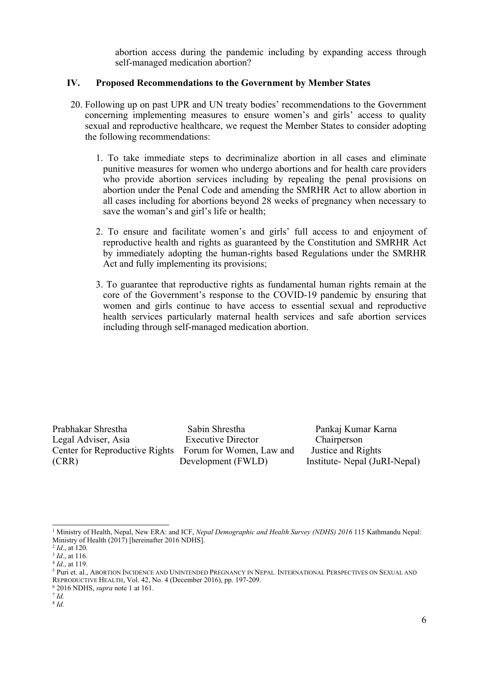abortion access during the pandemic including by expanding access through self-managed medication abortion?

# **IV. Proposed Recommendations to the Government by Member States**

- 20. Following up on pas<sup>t</sup> UPR and UN treaty bodies' recommendations to the Government concerning implementing measures to ensure women'<sup>s</sup> and girls' access to quality sexual and reproductive healthcare, we reques<sup>t</sup> the Member States to consider adopting the following recommendations:
	- 1. To take immediate steps to decriminalize abortion in all cases and eliminate punitive measures for women who undergo abortions and for health care providers who provide abortion services including by repealing the penal provisions on abortion under the Penal Code and amending the SMRHR Act to allow abortion in all cases including for abortions beyond 28 weeks of pregnancy when necessary to save the woman'<sup>s</sup> and girl'<sup>s</sup> life or health;
	- 2. To ensure and facilitate women'<sup>s</sup> and girls' full access to and enjoyment of reproductive health and rights as guaranteed by the Constitution and SMRHR Act by immediately adopting the human-rights based Regulations under the SMRHR Act and fully implementing its provisions;
	- 3. To guarantee that reproductive rights as fundamental human rights remain at the core of the Government'<sup>s</sup> response to the COVID-19 pandemic by ensuring that women and girls continue to have access to essential sexual and reproductive health services particularly maternal health services and safe abortion services including through self-managed medication abortion.

Prabhakar Shrestha Sabin Shrestha Pankaj Kumar Karna Legal Adviser, Asia Executive Director Chairperson Center for Reproductive Rights Forum for Women, Law and Justice and Rights (CRR) Development (FWLD) Institute- Nepal (JuRI-Nepal)

<sup>1</sup> Ministry of Health, Nepal, New ERA: and ICF, *Nepal Demographic and Health Survey (NDHS) 2016* 115 Kathmandu Nepal: Ministry of Health (2017) [hereinafter 2016 NDHS].

<sup>2</sup> *Id*., at 120.

<sup>3</sup> *Id*., at 116.

<sup>4</sup> *Id*., at 119.

<sup>5</sup> Puri et. al., ABORTION INCIDENCE AND UNINTENDED PREGNANCY IN NEPAL. INTERNATIONAL PERSPECTIVES ON SEXUAL AND REPRODUCTIVE HEALTH, Vol. 42, No. 4 (December 2016), pp. 197-209.

<sup>6</sup> 2016 NDHS, *supra* note 1 at 161.

<sup>7</sup> *Id.* 8 *Id.*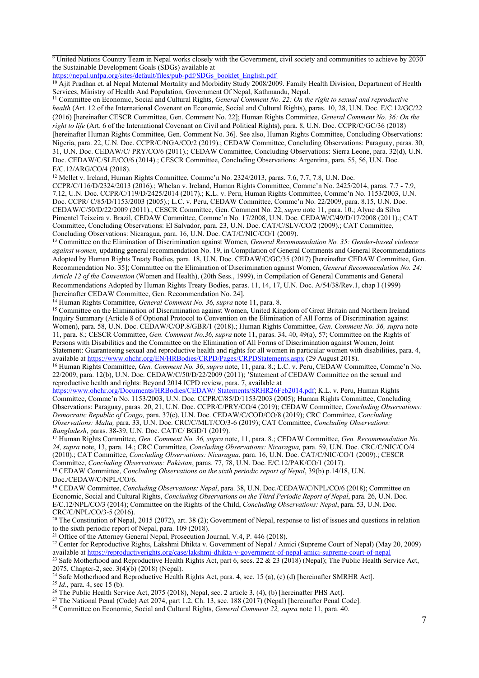$9$  United Nations Country Team in Nepal works closely with the Government, civil society and communities to achieve by 2030 the Sustainable Development Goals (SDGs) available at

[https://nepal.unfpa.org/sites/default/files/pub-pdf/SDGs\\_booklet\\_English.pdf](https://nepal.unfpa.org/sites/default/files/pub-pdf/SDGs_booklet_English.pdf)

<sup>10</sup> Ajit Pradhan et. al Nepal Maternal Mortality and Morbidity Study 2008/2009. Family Health Division, Department of Health Services, Ministry of Health And Population, Government Of Nepal, Kathmandu, Nepal.

<sup>11</sup> Committee on Economic, Social and Cultural Rights, *General Comment No. 22: On the right to sexual and reproductive health* (Art. 12 of the International Covenant on Economic, Social and Cultural Rights), paras. 10, 28, U.N. Doc. E/C.12/GC/22 (2016) [hereinafter CESCR Committee, Gen. Comment No. 22]; Human Rights Committee, *General Comment No. 36: On the right to life* (Art. 6 of the International Covenant on Civil and Political Rights), para. 8, U.N. Doc. CCPR/C/GC/36 (2018) [hereinafter Human Rights Committee, Gen. Comment No. 36]. See also, Human Rights Committee, Concluding Observations: Nigeria, para. 22, U.N. Doc. CCPR/C/NGA/CO/2 (2019).; CEDAW Committee, Concluding Observations: Paraguay, paras. 30, 31, U.N. Doc. CEDAW/C/ PRY/CO/6 (2011).; CEDAW Committee, Concluding Observations: Sierra Leone, para. 32(d), U.N. Doc. CEDAW/C/SLE/CO/6 (2014).; CESCR Committee, Concluding Observations: Argentina, para. 55, 56, U.N. Doc. E/C.12/ARG/CO/4 (2018).

<sup>12</sup> Mellet v. Ireland, Human Rights Committee, Commc'n No. 2324/2013, paras. 7.6, 7.7, 7.8, U.N. Doc.

CCPR/C/116/D/2324/2013 (2016).; Whelan v. Ireland, Human Rights Committee, Commc'<sup>n</sup> No. 2425/2014, paras. 7.7 - 7.9, 7.12, U.N. Doc. CCPR/C/119/D/2425/2014 (2017).; K.L. v. Peru, Human Rights Committee, Commc'<sup>n</sup> No. 1153/2003, U.N. Doc. CCPR/ C/85/D/1153/2003 (2005).; L.C. v. Peru, CEDAW Committee, Commc'<sup>n</sup> No. 22/2009, para. 8.15, U.N. Doc. CEDAW/C/50/D/22/2009 (2011).; CESCR Committee, Gen. Comment No. 22, *supra* note 11, para. 10.; Alyne da Silva Pimentel Teixeira v. Brazil, CEDAW Committee, Commc'<sup>n</sup> No. 17/2008, U.N. Doc. CEDAW/C/49/D/17/2008 (2011).; CAT Committee, Concluding Observations: El Salvador, para. 23, U.N. Doc. CAT/C/SLV/CO/2 (2009).; CAT Committee, Concluding Observations: Nicaragua, para. 16, U.N. Doc. CAT/C/NIC/CO/1 (2009).

<sup>13</sup> Committee on the Elimination of Discrimination against Women*, General Recommendation No. 35: Gender-based violence against women,* updating general recommendation No. 19, in Compilation of General Comments and General Recommendations Adopted by Human Rights Treaty Bodies, para. 18, U.N. Doc. CEDAW/C/GC/35 (2017) [hereinafter CEDAW Committee, Gen. Recommendation No. 35]; Committee on the Elimination of Discrimination against Women, *General Recommendation No. 24: Article 12 of the Convention* (Women and Health), (20th Sess., 1999), in Compilation of General Comments and General Recommendations Adopted by Human Rights Treaty Bodies, paras. 11, 14, 17, U.N. Doc. A/54/38/Rev.1, chap I (1999) [hereinafter CEDAW Committee, Gen. Recommendation No. 24].

<sup>14</sup> Human Rights Committee, *General Comment No. 36, supra* note 11, para. 8.

<sup>15</sup> Committee on the Elimination of Discrimination against Women, United Kingdom of Great Britain and Northern Ireland Inquiry Summary (Article 8 of Optional Protocol to Convention on the Elimination of All Forms of Discrimination against Women), para. 58, U.N. Doc. CEDAW/C/OP.8/GBR/1 (2018).; Human Rights Committee, *Gen. Comment No. 36, supra* note 11, para. 8.; CESCR Committee, *Gen. Comment No.36, supra* note 11, paras. 34, 40, 49(a), 57; Committee on the Rights of Persons with Disabilities and the Committee on the Elimination of All Forms of Discrimination against Women, Joint Statement: Guaranteeing sexual and reproductive health and rights for all women in particular women with disabilities, para. 4, available at https://www.ohchr.org/EN/HRBodies/CRPD/Pages/CRPDStatements.aspx (29 August 2018).

<sup>16</sup> Human Rights Committee, *Gen. Comment No. 36*, *supra* note, 11, para. 8.; L.C. v. Peru, CEDAW Committee, Commc'<sup>n</sup> No. 22/2009, para. 12(b), U.N. Doc. CEDAW/C/50/D/22/2009 (2011); 'Statement of CEDAW Committee on the sexual and reproductive health and rights: Beyond 2014 ICPD review, para. 7, available at

https://www.ohchr.org/Documents/HRBodies/CEDAW/ Statements/SRHR26Feb2014.pdf; K.L. v. Peru, Human Rights Committee, Commc'<sup>n</sup> No. 1153/2003, U.N. Doc. CCPR/C/85/D/1153/2003 (2005); Human Rights Committee, Concluding Observations: Paraguay, paras. 20, 21, U.N. Doc. CCPR/C/PRY/CO/4 (2019); CEDAW Committee, *Concluding Observations: Democratic Republic of Congo,* para. 37(c), U.N. Doc. CEDAW/C/COD/CO/8 (2019); CRC Committee, *Concluding Observations: Malta,* para. 33, U.N. Doc. CRC/C/MLT/CO/3-6 (2019); CAT Committee, *Concluding Observations: Bangladesh*, paras. 38-39, U.N. Doc. CAT/C/ BGD/1 (2019).

<sup>17</sup> Human Rights Committee, *Gen. Comment No. 36, supra* note, 11, para. 8.; CEDAW Committee, *Gen. Recommendation No. 24, supra* note, 13, para. 14.; CRC Committee, *Concluding Observations: Nicaragua,* para. 59, U.N. Doc. CRC/C/NIC/CO/4 (2010).; CAT Committee, *Concluding Observations: Nicaragua*, para. 16, U.N. Doc. CAT/C/NIC/CO/1 (2009).; CESCR Committee, *Concluding Observations: Pakistan*, paras. 77, 78, U.N. Doc. E/C.12/PAK/CO/1 (2017).

<sup>18</sup> CEDAW Committee, *Concluding Observations on the sixth periodic repor<sup>t</sup> of Nepal*, 39(b) p.14/18, U.N. Doc./CEDAW/C/NPL/CO/6.

<sup>19</sup> CEDAW Committee, *Concluding Observations: Nepal*, para. 38, U.N. Doc./CEDAW/C/NPL/CO/6 (2018); Committee on Economic, Social and Cultural Rights, *Concluding Observations on the Third Periodic Report of Nepal*, para. 26, U.N. Doc. E/C.12/NPL/CO/3 (2014); Committee on the Rights of the Child, *Concluding Observations: Nepal*, para. 53, U.N. Doc. CRC/C/NPL/CO/3-5 (2016).

<sup>20</sup> The Constitution of Nepal, 2015 (2072), art. 38 (2); Government of Nepal, response to list of issues and questions in relation to the sixth periodic repor<sup>t</sup> of Nepal, para. 109 (2018).

<sup>21</sup> Office of the Attorney General Nepal, Prosecution Journal, V.4, P. 446 (2018).

<sup>22</sup> Center for Reproductive Rights, Lakshmi Dhikta v. Government of Nepal / Amici (Supreme Court of Nepal) (May 20, 2009) available at <https://reproductiverights.org/case/lakshmi-dhikta-v-government-of-nepal-amici-supreme-court-of-nepal>

<sup>23</sup> Safe Motherhood and Reproductive Health Rights Act, part 6, secs. 22 & 23 (2018) (Nepal); The Public Health Service Act, 2075, Chapter-2, sec. 3(4)(b) (2018) (Nepal).

<sup>24</sup> Safe Motherhood and Reproductive Health Rights Act, para. 4, sec. 15 (a), (c) (d) [hereinafter SMRHR Act].

25 *Id*., para. 4, sec 15 (b).

<sup>26</sup> The Public Health Service Act, 2075 (2018), Nepal, sec. 2 article 3, (4), (b) [hereinafter PHS Act].

<sup>27</sup> The National Penal (Code) Act 2074, part 1.2, Ch. 13, sec. 188 (2017) (Nepal) [hereinafter Penal Code].

<sup>28</sup> Committee on Economic, Social and Cultural Rights, *General Comment 22, supra* note 11, para. 40.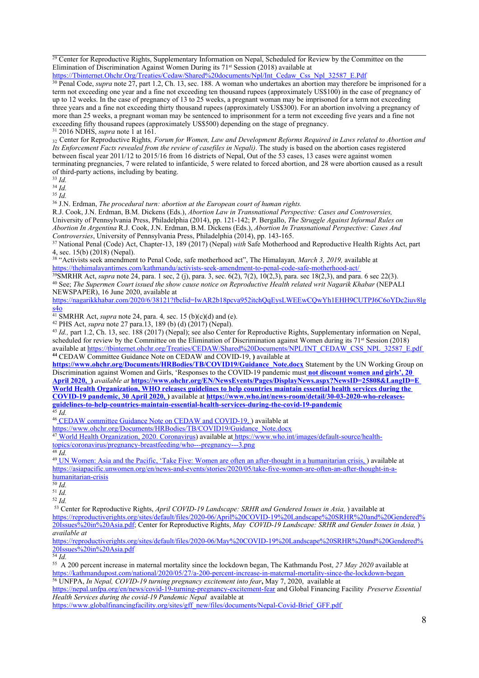$29$  Center for Reproductive Rights, Supplementary Information on Nepal, Scheduled for Review by the Committee on the Elimination of Discrimination Against Women During its 71<sup>st</sup> Session (2018) available at [https://Tbinternet.Ohchr.Org/Treaties/Cedaw/Shared%20documents/Npl/Int\\_Cedaw\\_Css\\_Npl\\_32587\\_E.Pdf](https://Tbinternet.Ohchr.Org/Treaties/Cedaw/Shared%20documents/Npl/Int_Cedaw_Css_Npl_32587_E.Pdf)

30 Penal Code, *supra* note 27, par<sup>t</sup> 1.2, Ch. 13, sec. 188. Awoman who undertakes an abortion may therefore be imprisoned for <sup>a</sup> term not exceeding one year and <sup>a</sup> fine not exceeding ten thousand rupees (approximately US\$100) in the case of pregnancy of up to 12 weeks. In the case of pregnancy of 13 to 25 weeks, <sup>a</sup> pregnan<sup>t</sup> woman may be imprisoned for <sup>a</sup> term not exceeding three years and <sup>a</sup> fine not exceeding thirty thousand rupees (approximately US\$300). For an abortion involving <sup>a</sup> pregnancy of more than 25 weeks, <sup>a</sup> pregnan<sup>t</sup> woman may be sentenced to imprisonment for <sup>a</sup> term not exceeding five years and <sup>a</sup> fine not exceeding fifty thousand rupees (approximately US\$500) depending on the stage of pregnancy. 31 2016 NDHS, *supra* note 1 at 161.

 $_{32}$  Center for Reproductive Rights, Forum for Women, Law and Development Reforms Required in Laws related to Abortion and *Its Enforcement Facts revealed from the review of casefiles in Nepali)*. The study is based on the abortion cases registered between fiscal year 2011/12 to 2015/16 from 16 districts of Nepal, Out of the 53 cases, 13 cases were against women terminating pregnancies, 7 were related to infanticide, 5 were related to forced abortion, and 28 were abortion caused as <sup>a</sup> result of third-party actions, including by beating.

33 *Id.*

34 *Id.*

35 *Id.*

36 J.N. Erdman, *The procedural turn: abortion at the European court of human rights.*

R.J. Cook, J.N. Erdman, B.M. Dickens (Eds.), *Abortion Law in Transnational Perspective: Cases and Controversies,* University of Pennsylvania Press, Philadelphia (2014), pp. 121-142; P. Bergallo, *The Struggle Against Informal Rules on Abortion In Argentina* R.J. Cook, J.N. Erdman, B.M. Dickens (Eds.), *Abortion In Transnational Perspective: Cases And Controversies*, University of Pennsylvania Press, Philadelphia (2014), pp. 143-165.

<sup>37</sup> National Penal (Code) Act, Chapter-13, 189 (2017) (Nepal) *with* Safe Motherhood and Reproductive Health Rights Act, par<sup>t</sup> 4, sec. 15(b) (2018) (Nepal).

38 "Activists seek amendment to Penal Code, safe motherhood act", The Himalayan*, March 3, 2019,* available at <https://thehimalayantimes.com/kathmandu/activists-seek-amendment-to-penal-code-safe-motherhood-act/>

39 SMRHR Act, *supra* note 24, para. 1 sec, 2 (j), para. 3, sec. 6(2), 7(2), 10(2,3), para. sec 18(2,3), and para. 6 sec 22(3). 40 See; *The Supermen Court issued the show cause notice on Reproductive Health related writ Nagarik Khabar* (NEPALI NEWSPAPER), 16 June 2020, available at

[https://nagarikkhabar.com/2020/6/38121?fbclid=IwAR2b18pcva952itchQqEysLWEEwCQwYh1EHH9CUTPJ6C6oYDc2iuv8lg](https://nagarikkhabar.com/2020/6/38121?fbclid=IwAR2b18pcva952itchQqEysLWEEwCQwYh1EHH9CUTPJ6C6oYDc2iuv8lgs4o)

[s4o](https://nagarikkhabar.com/2020/6/38121?fbclid=IwAR2b18pcva952itchQqEysLWEEwCQwYh1EHH9CUTPJ6C6oYDc2iuv8lgs4o) 41 SMRHR Act, *supra* note 24, para. 4*,* sec. 15 (b)(c)(d) and (e).

42 PHS Act, *supra* note 27 para.13, 189 (b) (d) (2017) (Nepal).

43 *Id.,* par<sup>t</sup> 1.2, Ch. 13, sec. 188 (2017) (Nepal); see also Center for Reproductive Rights, Supplementary information on Nepal, scheduled for review by the Committee on the Elimination of Discrimination against Women during its 71<sup>st</sup> Session (2018) available at [https://tbinternet.ohchr.org/Treaties/CEDAW/Shared%20Documents/NPL/INT\\_CEDAW\\_CSS\\_NPL\\_32587\\_E.pdf](https://tbinternet.ohchr.org/Treaties/CEDAW/Shared%20Documents/NPL/INT_CEDAW_CSS_NPL_32587_E.pdf) **<sup>44</sup>** CEDAW Committee Guidance Note on CEDAW and COVID-19, **)** available at

**[https://www.ohchr.org/Documents/HRBodies/TB/COVID19/Guidance\\_Note.docx](https://www.ohchr.org/Documents/HRBodies/TB/COVID19/Guidance_Note.docx)** Statement by the UN Working Group on Discrimination against Women and Girls, 'Responses to the COVID-19 pandemic must **not discount women and girls', 20 April 2020, )** *available at* **<https://www.ohchr.org/EN/NewsEvents/Pages/DisplayNews.aspx?NewsID=25808&LangID=E>** World Health Organization, WHO releases guidelines to help countries maintain essential health services during the **COVID-19 pandemic, 30 April 2020, )** available at **[https://www.who.int/news-room/detail/30-03-2020-who-releases](https://www.who.int/news-room/detail/30-03-2020-who-releases-guidelines-to-help-countries-maintain-essential-health-services-during-the-covid-19-pandemic)gu[idelines-to-help-countries-maintain-essential-health-services-during-the-covid-19-pandemic](https://www.who.int/news-room/detail/30-03-2020-who-releases-guidelines-to-help-countries-maintain-essential-health-services-during-the-covid-19-pandemic)** 45 *Id.*

<sup>46</sup> CEDAW committee Guidance Note on CEDAW and COVID-19, ) available at

[https://www.ohchr.org/Documents/HRBodies/TB/COVID19/Guidance](https://www.ohchr.org/Documents/HRBodies/TB/COVID19/Guidance_Note.docx)\_[Note.docx](https://www.ohchr.org/Documents/HRBodies/TB/COVID19/Guidance_Note.docx)

<sup>47</sup> World Health Organization, 2020. Coronavirus) available at [https://www.who.int/images/default-source/health-](https://www.who.int/images/default-source/health-topics/coronavirus/pregnancy-breastfeeding/who---pregnancy---3.png)

[topics/coronavirus/pregnancy-breastfeeding/who---pregnancy---3.png](https://www.who.int/images/default-source/health-topics/coronavirus/pregnancy-breastfeeding/who---pregnancy---3.png) 48 *Id.*

<sup>49</sup> UN Women: Asia and the Pacific, 'Take Five: Women are often an after-thought in a humanitarian crisis, ) available at [https://asiapacific.unwomen.org/en/news-and-events/stories/2020/05/take-five-women-are-often-an-after-thought-in-a](https://asiapacific.unwomen.org/en/news-and-events/stories/2020/05/take-five-women-are-often-an-after-thought-in-a-humanitarian-crisis)[humanitarian-crisis](https://asiapacific.unwomen.org/en/news-and-events/stories/2020/05/take-five-women-are-often-an-after-thought-in-a-humanitarian-crisis)

50 *Id.*

51 *Id.*

52 *Id.*

<sup>53</sup> Center for Reproductive Rights, *April COVID-19 Landscape: SRHR and Gendered Issues in Asia,* ) available at [https://reproductiverights.org/sites/default/files/2020-06/April%20COVID-19%20Landscape%20SRHR%20and%20Gendered%](https://reproductiverights.org/sites/default/files/2020-06/April%20COVID-19%20Landscape%20SRHR%20and%20Gendered%20Issues%20in%20Asia.pdf) [20Issues%20in%20Asia.pdf](https://reproductiverights.org/sites/default/files/2020-06/April%20COVID-19%20Landscape%20SRHR%20and%20Gendered%20Issues%20in%20Asia.pdf); Center for Reproductive Rights, *May COVID-19 Landscape: SRHR and Gender Issues in Asia,* ) *available at*

[https://reproductiverights.org/sites/default/files/2020-06/May%20COVID-19%20Landscape%20SRHR%20and%20Gendered%](https://reproductiverights.org/sites/default/files/2020-06/May%20COVID-19%20Landscape%20SRHR%20and%20Gendered%20Issues%20in%20Asia.pdf) [20Issues%20in%20Asia.pdf](https://reproductiverights.org/sites/default/files/2020-06/May%20COVID-19%20Landscape%20SRHR%20and%20Gendered%20Issues%20in%20Asia.pdf)

54 *Id.*

<sup>55</sup> A 200 percen<sup>t</sup> increase in maternal mortality since the lockdown began, The Kathmandu Post, *27 May 2020* available at <https://kathmandupost.com/national/2020/05/27/a-200-percent-increase-in-maternal-mortality-since-the-lockdown-began> <sup>56</sup> UNFPA, *In Nepal, COVID-19 turning pregnancy excitement into fear***,** May 7, 2020, available at

<https://nepal.unfpa.org/en/news/covid-19-turning-pregnancy-excitement-fear> and Global Financing Facility *Preserve Essential Health Services during the covid-19 Pandemic Nepal* available at

[https://www.globalfinancingfacility.org/sites/gff\\_new/files/documents/Nepal-Covid-Brief\\_GFF.pdf](https://www.globalfinancingfacility.org/sites/gff_new/files/documents/Nepal-Covid-Brief_GFF.pdf)